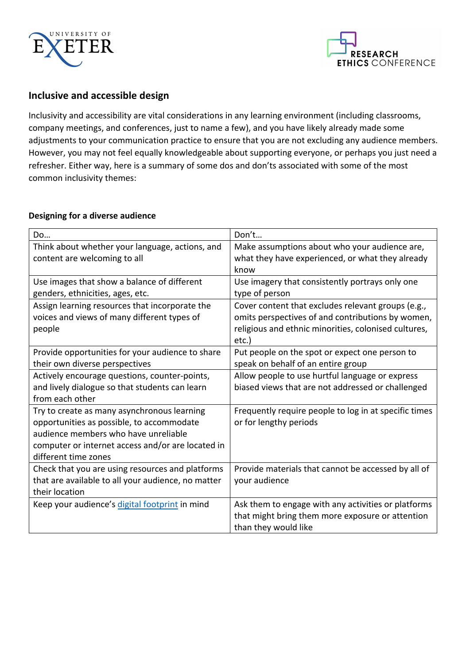



#### **Inclusive and accessible design**

Inclusivity and accessibility are vital considerations in any learning environment (including classrooms, company meetings, and conferences, just to name a few), and you have likely already made some adjustments to your communication practice to ensure that you are not excluding any audience members. However, you may not feel equally knowledgeable about supporting everyone, or perhaps you just need a refresher. Either way, here is a summary of some dos and don'ts associated with some of the most common inclusivity themes:

#### **Designing for a diverse audience**

| Do                                                 | Don't                                                 |
|----------------------------------------------------|-------------------------------------------------------|
| Think about whether your language, actions, and    | Make assumptions about who your audience are,         |
| content are welcoming to all                       | what they have experienced, or what they already      |
|                                                    | know                                                  |
| Use images that show a balance of different        | Use imagery that consistently portrays only one       |
| genders, ethnicities, ages, etc.                   | type of person                                        |
| Assign learning resources that incorporate the     | Cover content that excludes relevant groups (e.g.,    |
| voices and views of many different types of        | omits perspectives of and contributions by women,     |
| people                                             | religious and ethnic minorities, colonised cultures,  |
|                                                    | etc.)                                                 |
| Provide opportunities for your audience to share   | Put people on the spot or expect one person to        |
| their own diverse perspectives                     | speak on behalf of an entire group                    |
| Actively encourage questions, counter-points,      | Allow people to use hurtful language or express       |
| and lively dialogue so that students can learn     | biased views that are not addressed or challenged     |
| from each other                                    |                                                       |
| Try to create as many asynchronous learning        | Frequently require people to log in at specific times |
| opportunities as possible, to accommodate          | or for lengthy periods                                |
| audience members who have unreliable               |                                                       |
| computer or internet access and/or are located in  |                                                       |
| different time zones                               |                                                       |
| Check that you are using resources and platforms   | Provide materials that cannot be accessed by all of   |
| that are available to all your audience, no matter | your audience                                         |
| their location                                     |                                                       |
| Keep your audience's digital footprint in mind     | Ask them to engage with any activities or platforms   |
|                                                    | that might bring them more exposure or attention      |
|                                                    | than they would like                                  |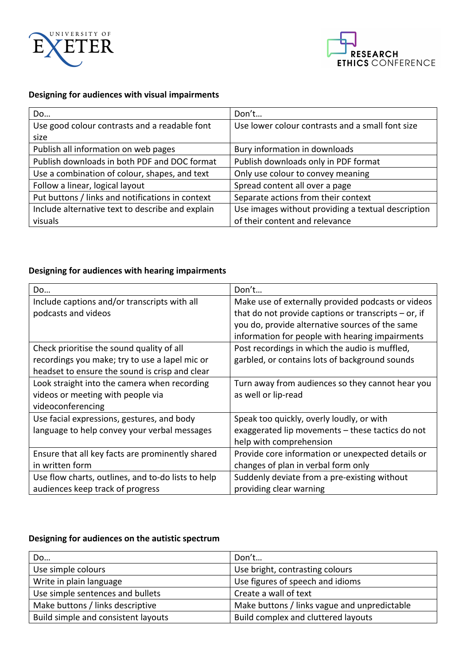



### **Designing for audiences with visual impairments**

| Do                                               | Don't                                              |
|--------------------------------------------------|----------------------------------------------------|
| Use good colour contrasts and a readable font    | Use lower colour contrasts and a small font size   |
| size                                             |                                                    |
| Publish all information on web pages             | Bury information in downloads                      |
| Publish downloads in both PDF and DOC format     | Publish downloads only in PDF format               |
| Use a combination of colour, shapes, and text    | Only use colour to convey meaning                  |
| Follow a linear, logical layout                  | Spread content all over a page                     |
| Put buttons / links and notifications in context | Separate actions from their context                |
| Include alternative text to describe and explain | Use images without providing a textual description |
| visuals                                          | of their content and relevance                     |

### **Designing for audiences with hearing impairments**

| Do                                                 | Don't                                                  |
|----------------------------------------------------|--------------------------------------------------------|
| Include captions and/or transcripts with all       | Make use of externally provided podcasts or videos     |
| podcasts and videos                                | that do not provide captions or transcripts $-$ or, if |
|                                                    | you do, provide alternative sources of the same        |
|                                                    | information for people with hearing impairments        |
| Check prioritise the sound quality of all          | Post recordings in which the audio is muffled,         |
| recordings you make; try to use a lapel mic or     | garbled, or contains lots of background sounds         |
| headset to ensure the sound is crisp and clear     |                                                        |
| Look straight into the camera when recording       | Turn away from audiences so they cannot hear you       |
| videos or meeting with people via                  | as well or lip-read                                    |
| videoconferencing                                  |                                                        |
| Use facial expressions, gestures, and body         | Speak too quickly, overly loudly, or with              |
| language to help convey your verbal messages       | exaggerated lip movements - these tactics do not       |
|                                                    | help with comprehension                                |
| Ensure that all key facts are prominently shared   | Provide core information or unexpected details or      |
| in written form                                    | changes of plan in verbal form only                    |
| Use flow charts, outlines, and to-do lists to help | Suddenly deviate from a pre-existing without           |
| audiences keep track of progress                   | providing clear warning                                |

### Designing for audiences on the autistic spectrum

| Do                                  | Don't                                        |
|-------------------------------------|----------------------------------------------|
| Use simple colours                  | Use bright, contrasting colours              |
| Write in plain language             | Use figures of speech and idioms             |
| Use simple sentences and bullets    | Create a wall of text                        |
| Make buttons / links descriptive    | Make buttons / links vague and unpredictable |
| Build simple and consistent layouts | Build complex and cluttered layouts          |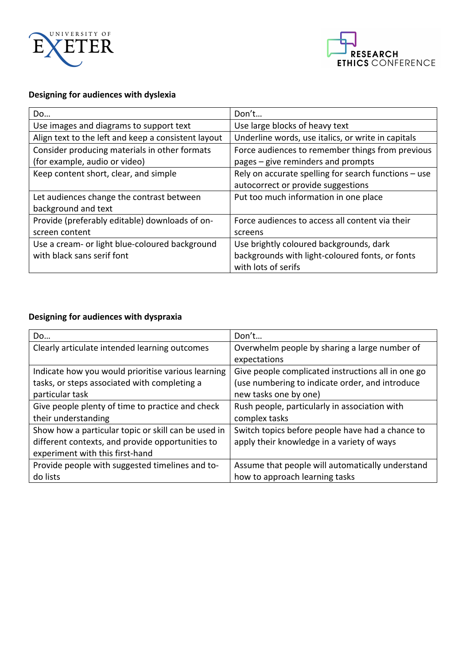



# **Designing for audiences with dyslexia**

| Do                                                  | Don't                                                |
|-----------------------------------------------------|------------------------------------------------------|
| Use images and diagrams to support text             | Use large blocks of heavy text                       |
| Align text to the left and keep a consistent layout | Underline words, use italics, or write in capitals   |
| Consider producing materials in other formats       | Force audiences to remember things from previous     |
| (for example, audio or video)                       | pages – give reminders and prompts                   |
| Keep content short, clear, and simple               | Rely on accurate spelling for search functions - use |
|                                                     | autocorrect or provide suggestions                   |
| Let audiences change the contrast between           | Put too much information in one place                |
| background and text                                 |                                                      |
| Provide (preferably editable) downloads of on-      | Force audiences to access all content via their      |
| screen content                                      | screens                                              |
| Use a cream- or light blue-coloured background      | Use brightly coloured backgrounds, dark              |
| with black sans serif font                          | backgrounds with light-coloured fonts, or fonts      |
|                                                     | with lots of serifs                                  |

### **Designing for audiences with dyspraxia**

| Do                                                  | Don't                                              |
|-----------------------------------------------------|----------------------------------------------------|
| Clearly articulate intended learning outcomes       | Overwhelm people by sharing a large number of      |
|                                                     | expectations                                       |
| Indicate how you would prioritise various learning  | Give people complicated instructions all in one go |
| tasks, or steps associated with completing a        | (use numbering to indicate order, and introduce    |
| particular task                                     | new tasks one by one)                              |
| Give people plenty of time to practice and check    | Rush people, particularly in association with      |
| their understanding                                 | complex tasks                                      |
| Show how a particular topic or skill can be used in | Switch topics before people have had a chance to   |
| different contexts, and provide opportunities to    | apply their knowledge in a variety of ways         |
| experiment with this first-hand                     |                                                    |
| Provide people with suggested timelines and to-     | Assume that people will automatically understand   |
| do lists                                            | how to approach learning tasks                     |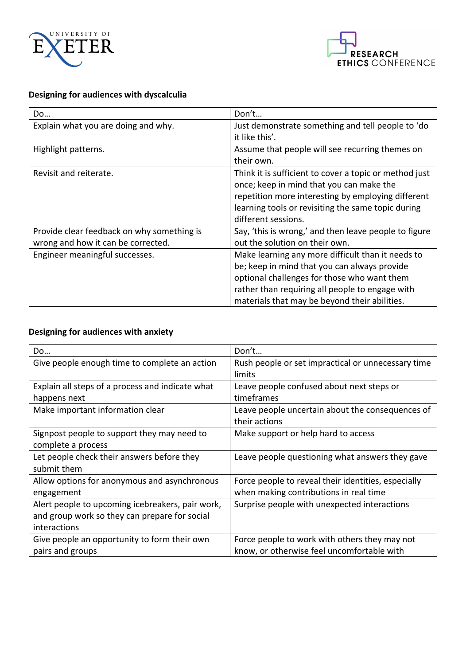



# **Designing for audiences with dyscalculia**

| Do                                         | Don't                                                  |
|--------------------------------------------|--------------------------------------------------------|
| Explain what you are doing and why.        | Just demonstrate something and tell people to 'do      |
|                                            | it like this'.                                         |
| Highlight patterns.                        | Assume that people will see recurring themes on        |
|                                            | their own.                                             |
| Revisit and reiterate.                     | Think it is sufficient to cover a topic or method just |
|                                            | once; keep in mind that you can make the               |
|                                            | repetition more interesting by employing different     |
|                                            | learning tools or revisiting the same topic during     |
|                                            | different sessions.                                    |
| Provide clear feedback on why something is | Say, 'this is wrong,' and then leave people to figure  |
| wrong and how it can be corrected.         | out the solution on their own.                         |
| Engineer meaningful successes.             | Make learning any more difficult than it needs to      |
|                                            | be; keep in mind that you can always provide           |
|                                            | optional challenges for those who want them            |
|                                            | rather than requiring all people to engage with        |
|                                            | materials that may be beyond their abilities.          |

### **Designing for audiences with anxiety**

| Do                                               | Don't                                               |
|--------------------------------------------------|-----------------------------------------------------|
| Give people enough time to complete an action    | Rush people or set impractical or unnecessary time  |
|                                                  | limits                                              |
| Explain all steps of a process and indicate what | Leave people confused about next steps or           |
| happens next                                     | timeframes                                          |
| Make important information clear                 | Leave people uncertain about the consequences of    |
|                                                  | their actions                                       |
| Signpost people to support they may need to      | Make support or help hard to access                 |
| complete a process                               |                                                     |
| Let people check their answers before they       | Leave people questioning what answers they gave     |
| submit them                                      |                                                     |
| Allow options for anonymous and asynchronous     | Force people to reveal their identities, especially |
| engagement                                       | when making contributions in real time              |
| Alert people to upcoming icebreakers, pair work, | Surprise people with unexpected interactions        |
| and group work so they can prepare for social    |                                                     |
| interactions                                     |                                                     |
| Give people an opportunity to form their own     | Force people to work with others they may not       |
| pairs and groups                                 | know, or otherwise feel uncomfortable with          |